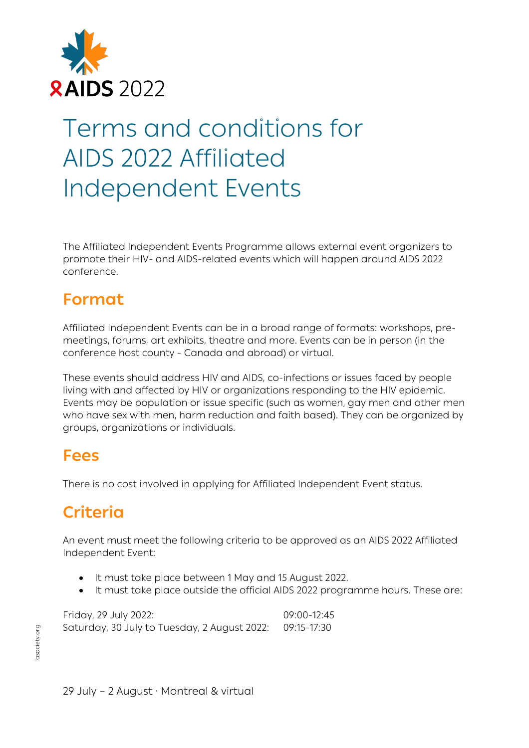

# Terms and conditions for AIDS 2022 Affiliated Independent Events

The Affiliated Independent Events Programme allows external event organizers to promote their HIV- and AIDS-related events which will happen around AIDS 2022 conference.

# **Format**

Affiliated Independent Events can be in a broad range of formats: workshops, premeetings, forums, art exhibits, theatre and more. Events can be in person (in the conference host county - Canada and abroad) or virtual.

These events should address HIV and AIDS, co-infections or issues faced by people living with and affected by HIV or organizations responding to the HIV epidemic. Events may be population or issue specific (such as women, gay men and other men who have sex with men, harm reduction and faith based). They can be organized by groups, organizations or individuals.

### **Fees**

There is no cost involved in applying for Affiliated Independent Event status.

# **Criteria**

An event must meet the following criteria to be approved as an AIDS 2022 Affiliated Independent Event:

- It must take place between 1 May and 15 August 2022.
- It must take place outside the official AIDS 2022 programme hours. These are:

Friday, 29 July 2022: 09:00-12:45 Saturday, 30 July to Tuesday, 2 August 2022: 09:15-17:30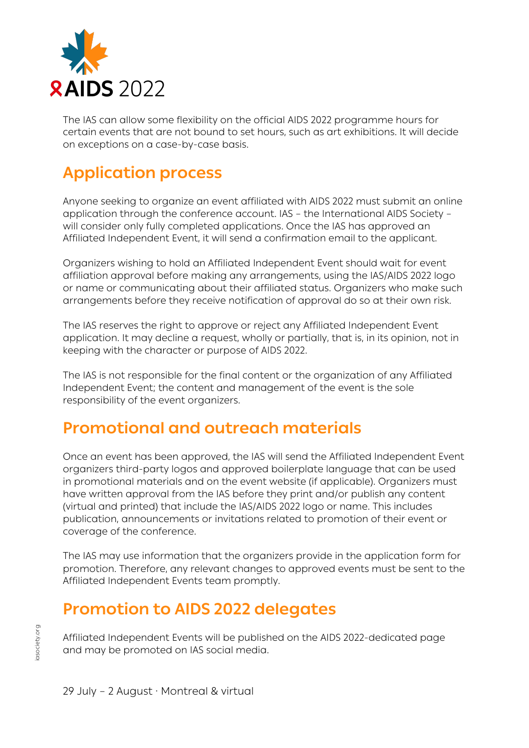

The IAS can allow some flexibility on the official AIDS 2022 programme hours for certain events that are not bound to set hours, such as art exhibitions. It will decide on exceptions on a case-by-case basis.

## **Application process**

Anyone seeking to organize an event affiliated with AIDS 2022 must submit an online application through the conference account. IAS – the International AIDS Society – will consider only fully completed applications. Once the IAS has approved an Affiliated Independent Event, it will send a confirmation email to the applicant.

Organizers wishing to hold an Affiliated Independent Event should wait for event affiliation approval before making any arrangements, using the IAS/AIDS 2022 logo or name or communicating about their affiliated status. Organizers who make such arrangements before they receive notification of approval do so at their own risk.

The IAS reserves the right to approve or reject any Affiliated Independent Event application. It may decline a request, wholly or partially, that is, in its opinion, not in keeping with the character or purpose of AIDS 2022.

The IAS is not responsible for the final content or the organization of any Affiliated Independent Event; the content and management of the event is the sole responsibility of the event organizers.

#### **Promotional and outreach materials**

Once an event has been approved, the IAS will send the Affiliated Independent Event organizers third-party logos and approved boilerplate language that can be used in promotional materials and on the event website (if applicable). Organizers must have written approval from the IAS before they print and/or publish any content (virtual and printed) that include the IAS/AIDS 2022 logo or name. This includes publication, announcements or invitations related to promotion of their event or coverage of the conference.

The IAS may use information that the organizers provide in the application form for promotion. Therefore, any relevant changes to approved events must be sent to the Affiliated Independent Events team promptly.

#### **Promotion to AIDS 2022 delegates**

Affiliated Independent Events will be published on the AIDS 2022-dedicated page and may be promoted on IAS social media.